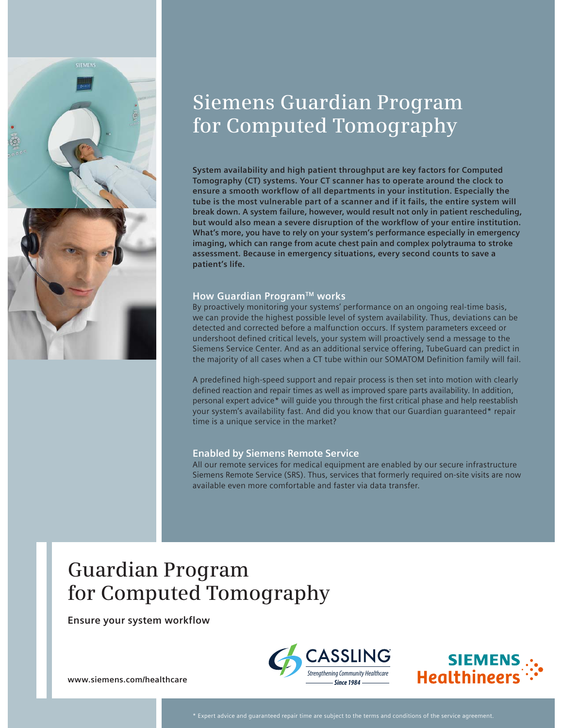

# **Siemens Guardian Program for Computed Tomography**

**System availability and high patient throughput are key factors for Computed**  Tomography (CT) systems. Your CT scanner has to operate around the clock to **ensure a smooth workflow of all departments in your institution. Especially the tube is the most vulnerable part of a scanner and if it fails, the entire system will break down. A system failure, however, would result not only in patient rescheduling, but would also mean a severe disruption of the workflow of your entire institution. What's more, you have to rely on your system's performance especially in emergency imaging, which can range from acute chest pain and complex polytrauma to stroke assessment. Because in emergency situations, every second counts to save a patient's life.**

# **How Guardian ProgramTM works**

By proactively monitoring your systems' performance on an ongoing real-time basis, we can provide the highest possible level of system availability. Thus, deviations can be detected and corrected before a malfunction occurs. If system parameters exceed or undershoot defined critical levels, your system will proactively send a message to the Siemens Service Center. And as an additional service offering, TubeGuard can predict in the majority of all cases when a CT tube within our SOMATOM Definition family will fail.

A predefined high-speed support and repair process is then set into motion with clearly defined reaction and repair times as well as improved spare parts availability. In addition, personal expert advice\* will guide you through the first critical phase and help reestablish your system's availability fast. And did you know that our Guardian guaranteed\* repair time is a unique service in the market?

# **Enabled by Siemens Remote Service**

All our remote services for medical equipment are enabled by our secure infrastructure Siemens Remote Service (SRS). Thus, services that formerly required on-site visits are now available even more comfortable and faster via data transfer.

# **Guardian Program for Computed Tomography**

**Ensure your system workflow**





**www.siemens.com/healthcare**